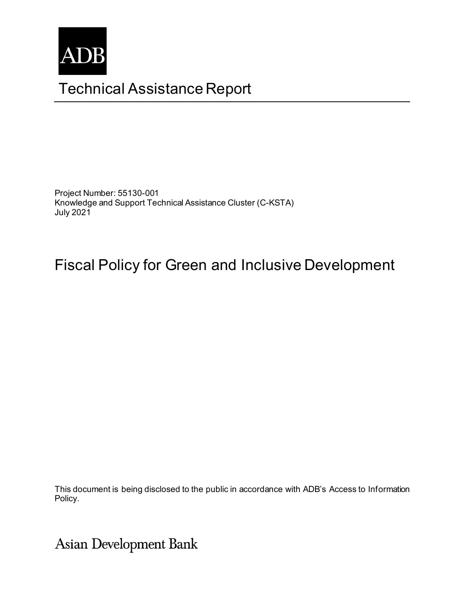

# Technical Assistance Report

Project Number: 55130-001 Knowledge and Support Technical Assistance Cluster (C-KSTA) July 2021

# Fiscal Policy for Green and Inclusive Development

This document is being disclosed to the public in accordance with ADB's Access to Information Policy.

Asian Development Bank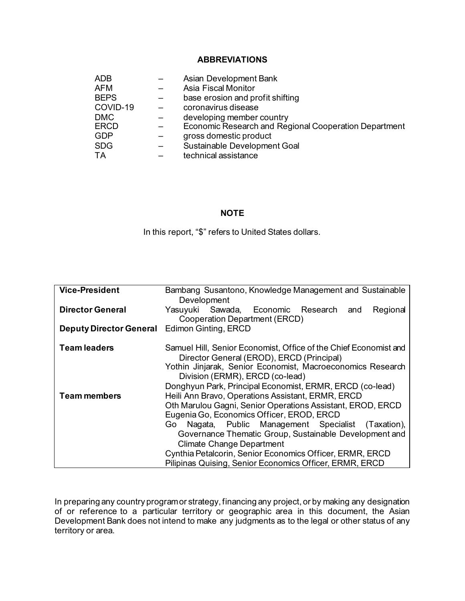#### **ABBREVIATIONS**

| <b>ADB</b>  | Asian Development Bank                                |
|-------------|-------------------------------------------------------|
| <b>AFM</b>  | <b>Asia Fiscal Monitor</b>                            |
| <b>BEPS</b> | base erosion and profit shifting                      |
| COVID-19    | coronavirus disease                                   |
| <b>DMC</b>  | developing member country                             |
| <b>ERCD</b> | Economic Research and Regional Cooperation Department |
| <b>GDP</b>  | gross domestic product                                |
| <b>SDG</b>  | Sustainable Development Goal                          |
| <b>TA</b>   | technical assistance                                  |

#### **NOTE**

In this report, "\$" refers to United States dollars.

| <b>Vice-President</b>                               | Bambang Susantono, Knowledge Management and Sustainable                                |
|-----------------------------------------------------|----------------------------------------------------------------------------------------|
|                                                     | Development                                                                            |
| <b>Director General</b>                             | Yasuyuki Sawada, Economic Research<br>Regional<br>and<br>Cooperation Department (ERCD) |
| <b>Deputy Director General</b> Edimon Ginting, ERCD |                                                                                        |
| <b>Team leaders</b>                                 | Samuel Hill, Senior Economist, Office of the Chief Economist and                       |
|                                                     | Director General (EROD), ERCD (Principal)                                              |
|                                                     | Yothin Jinjarak, Senior Economist, Macroeconomics Research                             |
|                                                     | Division (ERMR), ERCD (co-lead)                                                        |
|                                                     | Donghyun Park, Principal Economist, ERMR, ERCD (co-lead)                               |
| <b>Team members</b>                                 | Heili Ann Bravo, Operations Assistant, ERMR, ERCD                                      |
|                                                     | Oth Marulou Gagni, Senior Operations Assistant, EROD, ERCD                             |
|                                                     | Eugenia Go, Economics Officer, EROD, ERCD                                              |
|                                                     | Nagata, Public Management Specialist (Taxation),<br>Go.                                |
|                                                     | Governance Thematic Group, Sustainable Development and                                 |
|                                                     | <b>Climate Change Department</b>                                                       |
|                                                     | Cynthia Petalcorin, Senior Economics Officer, ERMR, ERCD                               |
|                                                     | Pilipinas Quising, Senior Economics Officer, ERMR, ERCD                                |

In preparing any country program or strategy, financing any project, or by making any designation of or reference to a particular territory or geographic area in this document, the Asian Development Bank does not intend to make any judgments as to the legal or other status of any territory or area.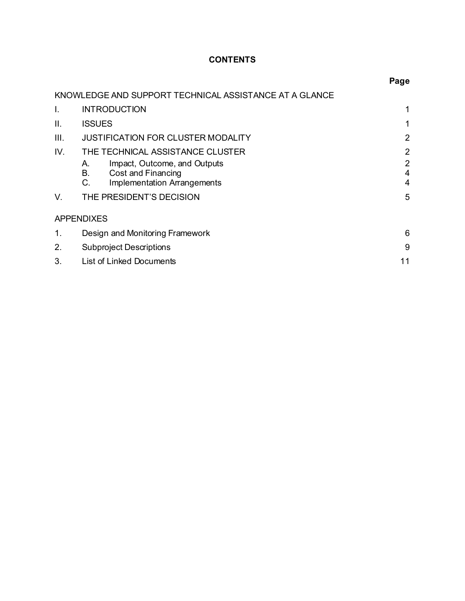## **CONTENTS**

|                |                                                                                                                   | Page                                               |
|----------------|-------------------------------------------------------------------------------------------------------------------|----------------------------------------------------|
|                | KNOWLEDGE AND SUPPORT TECHNICAL ASSISTANCE AT A GLANCE                                                            |                                                    |
| $\mathbf{I}$ . | <b>INTRODUCTION</b>                                                                                               | 1                                                  |
| Ш.             | <b>ISSUES</b>                                                                                                     | 1                                                  |
| III.           | <b>JUSTIFICATION FOR CLUSTER MODALITY</b>                                                                         | $\overline{2}$                                     |
| IV.            | THE TECHNICAL ASSISTANCE CLUSTER                                                                                  | $\overline{2}$                                     |
|                | Impact, Outcome, and Outputs<br>А.<br><b>B.</b><br>Cost and Financing<br>C.<br><b>Implementation Arrangements</b> | $\overline{2}$<br>$\overline{4}$<br>$\overline{4}$ |
| V.             | THE PRESIDENT'S DECISION                                                                                          | 5                                                  |
|                | <b>APPENDIXES</b>                                                                                                 |                                                    |
| 1.             | Design and Monitoring Framework                                                                                   | 6                                                  |
| 2.             | <b>Subproject Descriptions</b>                                                                                    | 9                                                  |
| 3.             | <b>List of Linked Documents</b>                                                                                   | 11                                                 |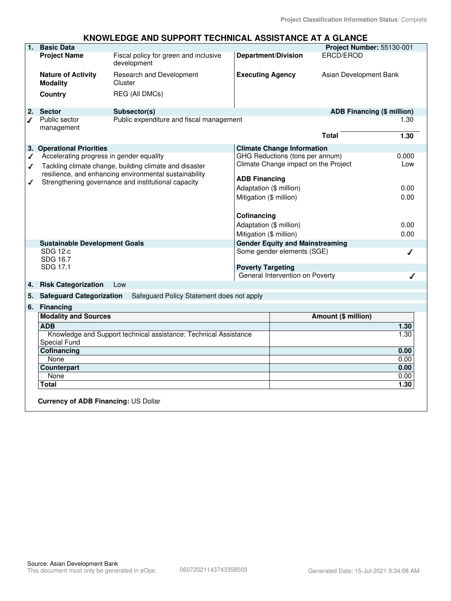#### **KNOWLEDGE AND SUPPORT TECHNICAL ASSISTANCE AT A GLANCE**

| 1.       | <b>Basic Data</b>                            |                                                                  |                         |                                        | Project Number: 55130-001         |              |
|----------|----------------------------------------------|------------------------------------------------------------------|-------------------------|----------------------------------------|-----------------------------------|--------------|
|          | <b>Project Name</b>                          | Fiscal policy for green and inclusive<br>development             |                         | <b>Department/Division</b>             | ERCD/EROD                         |              |
|          | <b>Nature of Activity</b><br><b>Modality</b> | Research and Development<br>Cluster                              | <b>Executing Agency</b> |                                        | Asian Development Bank            |              |
|          | Country                                      | REG (All DMCs)                                                   |                         |                                        |                                   |              |
| 2.       | <b>Sector</b>                                | Subsector(s)                                                     |                         |                                        | <b>ADB Financing (\$ million)</b> |              |
| ℐ        | Public sector<br>management                  | Public expenditure and fiscal management                         |                         |                                        | <b>Total</b>                      | 1.30<br>1.30 |
|          | 3. Operational Priorities                    |                                                                  |                         | <b>Climate Change Information</b>      |                                   |              |
| ✔        | Accelerating progress in gender equality     |                                                                  |                         | GHG Reductions (tons per annum)        |                                   | 0.000        |
| ✔        |                                              | Tackling climate change, building climate and disaster           |                         | Climate Change impact on the Project   |                                   | Low          |
|          |                                              | resilience, and enhancing environmental sustainability           |                         |                                        |                                   |              |
| ℐ        |                                              | Strengthening governance and institutional capacity              | <b>ADB Financing</b>    |                                        |                                   |              |
|          |                                              |                                                                  | Adaptation (\$ million) |                                        |                                   | 0.00         |
|          |                                              |                                                                  | Mitigation (\$ million) |                                        |                                   | 0.00         |
|          |                                              |                                                                  |                         |                                        |                                   |              |
|          |                                              |                                                                  | Cofinancing             |                                        |                                   |              |
|          |                                              |                                                                  | Adaptation (\$ million) |                                        |                                   | 0.00         |
|          |                                              |                                                                  | Mitigation (\$ million) |                                        |                                   | 0.00         |
|          | <b>Sustainable Development Goals</b>         |                                                                  |                         | <b>Gender Equity and Mainstreaming</b> |                                   |              |
|          | SDG 12.c                                     |                                                                  |                         | Some gender elements (SGE)             |                                   |              |
|          | SDG 16.7                                     |                                                                  |                         |                                        |                                   |              |
| SDG 17.1 |                                              | <b>Poverty Targeting</b>                                         |                         |                                        |                                   |              |
|          |                                              |                                                                  |                         | General Intervention on Poverty        |                                   |              |
| 4.       | <b>Risk Categorization</b>                   | Low                                                              |                         |                                        |                                   |              |
| 5.       | <b>Safeguard Categorization</b>              | Safeguard Policy Statement does not apply                        |                         |                                        |                                   |              |
| 6.       | <b>Financing</b>                             |                                                                  |                         |                                        |                                   |              |
|          | <b>Modality and Sources</b>                  |                                                                  |                         |                                        | Amount (\$ million)               |              |
|          | <b>ADB</b>                                   |                                                                  |                         |                                        |                                   | 1.30         |
|          |                                              | Knowledge and Support technical assistance: Technical Assistance |                         |                                        |                                   | 1.30         |
|          | Special Fund                                 |                                                                  |                         |                                        |                                   |              |
|          | Cofinancing                                  |                                                                  |                         |                                        |                                   | 0.00         |
|          | None                                         |                                                                  |                         |                                        |                                   | 0.00         |
|          | Counterpart                                  |                                                                  |                         |                                        |                                   | 0.00         |
|          | None                                         |                                                                  |                         |                                        |                                   | 0.00         |
|          | Total                                        |                                                                  |                         |                                        |                                   | 1.30         |
|          | Currency of ADB Financing: US Dollar         |                                                                  |                         |                                        |                                   |              |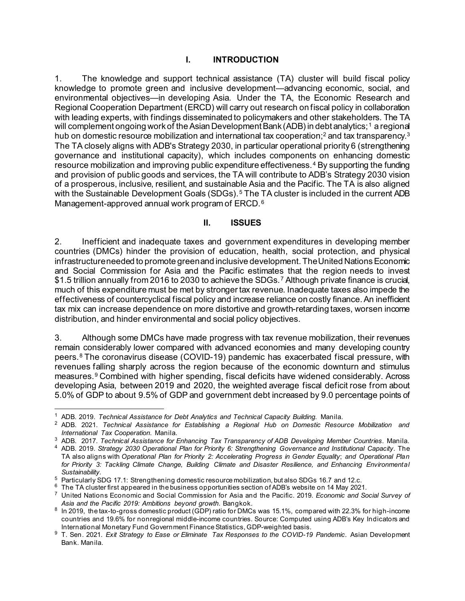#### **I. INTRODUCTION**

<span id="page-6-0"></span>1. The knowledge and support technical assistance (TA) cluster will build fiscal policy knowledge to promote green and inclusive development—advancing economic, social, and environmental objectives—in developing Asia. Under the TA, the Economic Research and Regional Cooperation Department (ERCD) will carry out research on fiscal policy in collaboration with leading experts, with findings disseminated to policymakers and other stakeholders. The TA will complement ongoing work of the Asian Development Bank (ADB) in debt analytics;<sup>[1](#page-6-2)</sup> a regional hub on domestic resource mobilization and international tax cooperation;<sup>[2](#page-6-3)</sup> and tax transparency.<sup>[3](#page-6-4)</sup> The TA closely aligns with ADB's Strategy 2030, in particular operational priority 6 (strengthening governance and institutional capacity), which includes components on enhancing domestic resource mobilization and improving public expenditure effectiveness.[4](#page-6-5) By supporting the funding and provision of public goods and services, the TA will contribute to ADB's Strategy 2030 vision of a prosperous, inclusive, resilient, and sustainable Asia and the Pacific. The TA is also aligned with the Sustainable Development Goals (SDGs).<sup>[5](#page-6-6)</sup> The TA cluster is included in the current ADB Management-approved annual work program of ERCD.<sup>[6](#page-6-7)</sup>

#### **II. ISSUES**

<span id="page-6-1"></span>2. Inefficient and inadequate taxes and government expenditures in developing member countries (DMCs) hinder the provision of education, health, social protection, and physical infrastructure needed to promote green and inclusive development. The United Nations Economic and Social Commission for Asia and the Pacific estimates that the region needs to invest \$1.5 trillion annually from 2016 to 2030 to achieve the SDGs.[7](#page-6-8) Although private finance is crucial, much of this expenditure must be met by stronger tax revenue. Inadequate taxes also impede the effectiveness of countercyclical fiscal policy and increase reliance on costly finance. An inefficient tax mix can increase dependence on more distortive and growth-retarding taxes, worsen income distribution, and hinder environmental and social policy objectives.

3. Although some DMCs have made progress with tax revenue mobilization, their revenues remain considerably lower compared with advanced economies and many developing country peers.[8](#page-6-9) The coronavirus disease (COVID-19) pandemic has exacerbated fiscal pressure, with revenues falling sharply across the region because of the economic downturn and stimulus measures.[9](#page-6-10) Combined with higher spending, fiscal deficits have widened considerably. Across developing Asia, between 2019 and 2020, the weighted average fiscal deficit rose from about 5.0% of GDP to about 9.5% of GDP and government debt increased by 9.0 percentage points of

<span id="page-6-2"></span><sup>1</sup> ADB. 2019. *[Technical Assistance for Debt Analytics and Technical Capacity Building](https://www.adb.org/projects/53357-001/main)*. Manila.

<span id="page-6-3"></span><sup>2</sup> ADB. 2021. *[Technical Assistance for Establishing a Regional Hub on Domestic Resource Mobilization and](https://www.adb.org/projects/54454-001/main)  [International Tax Cooperation](https://www.adb.org/projects/54454-001/main)*. Manila.

<sup>3</sup> ADB. 2017. *[Technical Assistance for Enhancing Tax Transparency of ADB Developing Member Countries](https://www.adb.org/projects/51320-001/main)*. Manila.

<span id="page-6-5"></span><span id="page-6-4"></span><sup>4</sup> ADB. 2019. *[Strategy 2030 Operational Plan for Priority 6: Strengthening Governance and Institutional Capacity.](https://www.adb.org/documents/strategy-2030-op6-governance)* The TA also aligns with *[Operational Plan for Priority 2: Accelerating Progress in Gender Equality](https://www.adb.org/documents/strategy-2030-op2-gender-equality)*; *and [Operational Plan](https://www.adb.org/documents/strategy-2030-op3-climate-change-resilience-sustainability)  [for Priority 3: Tackling Climate Change, Building Climate and Disaster Resilience,](https://www.adb.org/documents/strategy-2030-op3-climate-change-resilience-sustainability) and Enhancing Environmental [Sustainability.](https://www.adb.org/documents/strategy-2030-op3-climate-change-resilience-sustainability)*

<span id="page-6-6"></span><sup>5</sup> Particularly SDG 17.1: Strengthening domestic resource mobilization, but also SDGs 16.7 and 12.c.

<span id="page-6-7"></span> $6$  The TA cluster first appeared in the business opportunities section of ADB's website on 14 May 2021.

<span id="page-6-8"></span><sup>7</sup> United Nations Economic and Social Commission for Asia and the Pacific. 2019. *[Economic and Social Survey of](https://www.unescap.org/publications/economic-and-social-survey-asia-and-pacific-2019-ambitions-beyond-growth)  [Asia and the Pacific 2019: Ambitions beyond growth](https://www.unescap.org/publications/economic-and-social-survey-asia-and-pacific-2019-ambitions-beyond-growth)*. Bangkok.

<span id="page-6-9"></span><sup>8</sup> In 2019, the tax-to-gross domestic product (GDP) ratio for DMCs was 15.1%, compared with 22.3% for high-income countries and 19.6% for nonregional middle-income countries. Source: Computed using ADB's Key Indicators and International Monetary Fund Government Finance Statistics, GDP-weighted basis.

<span id="page-6-10"></span><sup>9</sup> T. Sen. 2021. *[Exit Strategy to Ease or Eliminate Tax Responses to the COVID-19 Pandemic](https://www.adb.org/publications/exit-strategy-tax-responses-covid-19-pandemic)*. Asian Development Bank. Manila.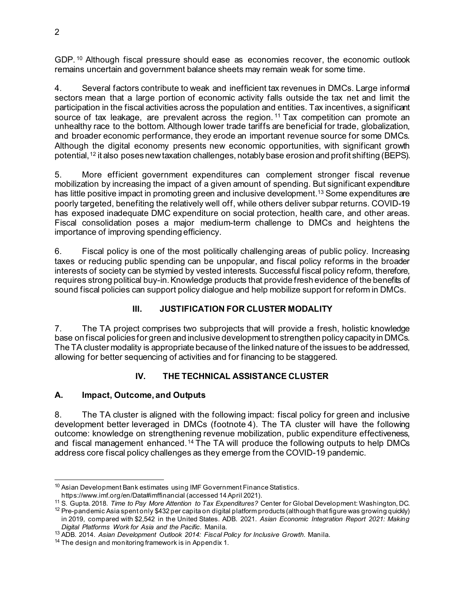GDP. [10](#page-7-3) Although fiscal pressure should ease as economies recover, the economic outlook remains uncertain and government balance sheets may remain weak for some time.

4. Several factors contribute to weak and inefficient tax revenues in DMCs. Large informal sectors mean that a large portion of economic activity falls outside the tax net and limit the participation in the fiscal activities across the population and entities. Tax incentives, a significant source of tax leakage, are prevalent across the region.<sup>[11](#page-7-4)</sup> Tax competition can promote an unhealthy race to the bottom. Although lower trade tariffs are beneficial for trade, globalization, and broader economic performance, they erode an important revenue source for some DMCs. Although the digital economy presents new economic opportunities, with significant growth potential,[12](#page-7-5) it also poses new taxation challenges, notably base erosion and profit shifting (BEPS).

5. More efficient government expenditures can complement stronger fiscal revenue mobilization by increasing the impact of a given amount of spending. But significant expenditure has little positive impact in promoting green and inclusive development.<sup>13</sup> Some expenditures are poorly targeted, benefiting the relatively well off, while others deliver subpar returns. COVID-19 has exposed inadequate DMC expenditure on social protection, health care, and other areas. Fiscal consolidation poses a major medium-term challenge to DMCs and heightens the importance of improving spending efficiency.

6. Fiscal policy is one of the most politically challenging areas of public policy. Increasing taxes or reducing public spending can be unpopular, and fiscal policy reforms in the broader interests of society can be stymied by vested interests. Successful fiscal policy reform, therefore, requires strong political buy-in. Knowledge products that provide fresh evidence of the benefits of sound fiscal policies can support policy dialogue and help mobilize support for reform in DMCs.

## **III. JUSTIFICATION FOR CLUSTER MODALITY**

<span id="page-7-0"></span>7. The TA project comprises two subprojects that will provide a fresh, holistic knowledge base on fiscal policies for green and inclusive development to strengthen policy capacity in DMCs. The TA cluster modality is appropriate because of the linked nature of the issues to be addressed, allowing for better sequencing of activities and for financing to be staggered.

### **IV. THE TECHNICAL ASSISTANCE CLUSTER**

### <span id="page-7-2"></span><span id="page-7-1"></span>**A. Impact, Outcome, and Outputs**

8. The TA cluster is aligned with the following impact: fiscal policy for green and inclusive development better leveraged in DMCs (footnote 4). The TA cluster will have the following outcome: knowledge on strengthening revenue mobilization, public expenditure effectiveness, and fiscal management enhanced.<sup>[14](#page-7-7)</sup> The TA will produce the following outputs to help DMCs address core fiscal policy challenges as they emerge from the COVID-19 pandemic.

<span id="page-7-3"></span><sup>&</sup>lt;sup>10</sup> Asian Development Bank estimates using IMF Government Finance Statistics.

<https://www.imf.org/en/Data#imffinancial> (accessed 14 April 2021).

<span id="page-7-4"></span><sup>11</sup> S. Gupta. 2018. *[Time to Pay More Attention to Tax Expenditures?](https://www.cgdev.org/blog/time-pay-more-attention-tax-expenditures)* Center for Global Development: Washington, DC.

<span id="page-7-5"></span> $12$  Pre-pandemic Asia spent only \$432 per capita on digital platform products (although that figure was growing quickly) in 2019, compared with \$2,542 in the United States. ADB. 2021. *[Asian Economic Integration Report 2021: Making](https://www.adb.org/publications/asian-economic-integration-report-2021)  [Digital Platforms Work for Asia and the Pacific](https://www.adb.org/publications/asian-economic-integration-report-2021)*. Manila.

<span id="page-7-6"></span><sup>13</sup> ADB. 2014. *[Asian Development Outlook 2014: Fiscal Policy for Inclusive Growth](https://www.adb.org/publications/asian-development-outlook-2014-fiscal-policy-inclusive-growth)*. Manila.

<span id="page-7-7"></span><sup>&</sup>lt;sup>14</sup> The design and monitoring framework is in Appendix 1.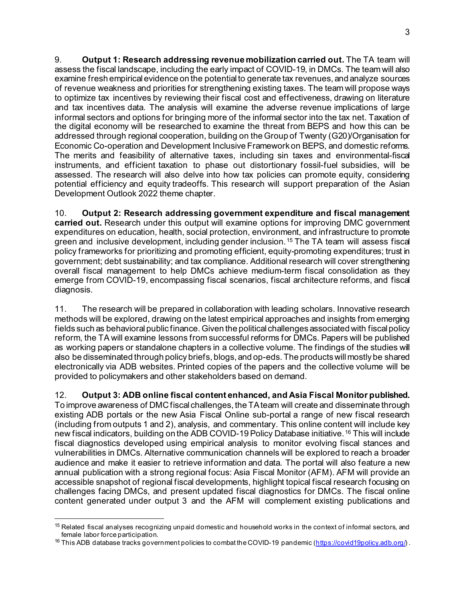9. **Output 1: Research addressing revenue mobilization carried out.** The TA team will assess the fiscal landscape, including the early impact of COVID-19, in DMCs. The team will also examine fresh empirical evidence on the potential to generate tax revenues, and analyze sources of revenue weakness and priorities for strengthening existing taxes. The team will propose ways to optimize tax incentives by reviewing their fiscal cost and effectiveness, drawing on literature and tax incentives data. The analysis will examine the adverse revenue implications of large informal sectors and options for bringing more of the informal sector into the tax net. Taxation of the digital economy will be researched to examine the threat from BEPS and how this can be addressed through regional cooperation, building on the Group of Twenty (G20)/Organisation for Economic Co-operation and Development Inclusive Framework on BEPS, and domestic reforms. The merits and feasibility of alternative taxes, including sin taxes and environmental-fiscal instruments, and efficient taxation to phase out distortionary fossil-fuel subsidies, will be assessed. The research will also delve into how tax policies can promote equity, considering potential efficiency and equity tradeoffs. This research will support preparation of the Asian Development Outlook 2022 theme chapter.

10. **Output 2: Research addressing government expenditure and fiscal management carried out.** Research under this output will examine options for improving DMC government expenditures on education, health, social protection, environment, and infrastructure to promote green and inclusive development, including gender inclusion.<sup>[15](#page-8-0)</sup> The TA team will assess fiscal policy frameworks for prioritizing and promoting efficient, equity-promoting expenditures; trust in government; debt sustainability; and tax compliance. Additional research will cover strengthening overall fiscal management to help DMCs achieve medium-term fiscal consolidation as they emerge from COVID-19, encompassing fiscal scenarios, fiscal architecture reforms, and fiscal diagnosis.

11. The research will be prepared in collaboration with leading scholars. Innovative research methods will be explored, drawing on the latest empirical approaches and insights from emerging fields such as behavioral public finance. Given the political challenges associated with fiscal policy reform, the TA will examine lessons from successful reforms for DMCs. Papers will be published as working papers or standalone chapters in a collective volume. The findings of the studies will also be disseminated through policy briefs, blogs, and op-eds.The products will mostly be shared electronically via ADB websites. Printed copies of the papers and the collective volume will be provided to policymakers and other stakeholders based on demand.

12. **Output 3: ADB online fiscal content enhanced, and Asia Fiscal Monitor published.**  To improve awareness of DMC fiscal challenges, the TA team will create and disseminate through existing ADB portals or the new Asia Fiscal Online sub-portal a range of new fiscal research (including from outputs 1 and 2), analysis, and commentary. This online content will include key new fiscal indicators, building on the ADB COVID-19 Policy Database initiative.[16](#page-8-1) This will include fiscal diagnostics developed using empirical analysis to monitor evolving fiscal stances and vulnerabilities in DMCs. Alternative communication channels will be explored to reach a broader audience and make it easier to retrieve information and data. The portal will also feature a new annual publication with a strong regional focus: Asia Fiscal Monitor (AFM). AFM will provide an accessible snapshot of regional fiscal developments, highlight topical fiscal research focusing on challenges facing DMCs, and present updated fiscal diagnostics for DMCs. The fiscal online content generated under output 3 and the AFM will complement existing publications and

<span id="page-8-0"></span><sup>&</sup>lt;sup>15</sup> Related fiscal analyses recognizing unpaid domestic and household works in the context of informal sectors, and female labor force participation.

<span id="page-8-1"></span> $^{16}$  This ADB database tracks government policies to combat the COVID-19 pandemic (<u>https://covid19policy.adb.org/</u>) .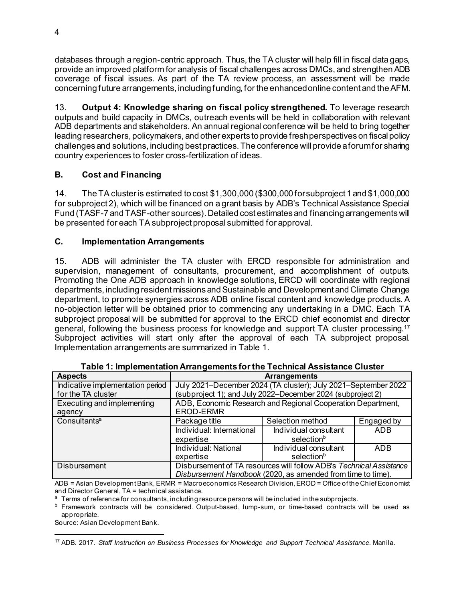databases through a region-centric approach. Thus, the TA cluster will help fill in fiscal data gaps, provide an improved platform for analysis of fiscal challenges across DMCs, and strengthen ADB coverage of fiscal issues. As part of the TA review process, an assessment will be made concerning future arrangements, including funding, for the enhanced online content and the AFM.

13. **Output 4: Knowledge sharing on fiscal policy strengthened.** To leverage research outputs and build capacity in DMCs, outreach events will be held in collaboration with relevant ADB departments and stakeholders. An annual regional conference will be held to bring together leading researchers, policymakers, and other experts to provide fresh perspectives on fiscal policy challenges and solutions, including best practices. The conference will provide a forum for sharing country experiences to foster cross-fertilization of ideas.

## <span id="page-9-0"></span>**B. Cost and Financing**

14. The TA cluster is estimated to cost \$1,300,000 (\$300,000 for subproject 1 and \$1,000,000 for subproject 2), which will be financed on a grant basis by ADB's Technical Assistance Special Fund (TASF-7 and TASF-other sources). Detailed cost estimates and financing arrangements will be presented for each TA subproject proposal submitted for approval.

## <span id="page-9-1"></span>**C. Implementation Arrangements**

15. ADB will administer the TA cluster with ERCD responsible for administration and supervision, management of consultants, procurement, and accomplishment of outputs. Promoting the One ADB approach in knowledge solutions, ERCD will coordinate with regional departments, including resident missions and Sustainable and Development and Climate Change department, to promote synergies across ADB online fiscal content and knowledge products. A no-objection letter will be obtained prior to commencing any undertaking in a DMC. Each TA subproject proposal will be submitted for approval to the ERCD chief economist and director general, following the business process for knowledge and support TA cluster processing.[17](#page-9-2) Subproject activities will start only after the approval of each TA subproject proposal. Implementation arrangements are summarized in Table 1.

| <b>Aspects</b>                   | <b>Arrangements</b>                                                 |                                                             |            |  |
|----------------------------------|---------------------------------------------------------------------|-------------------------------------------------------------|------------|--|
| Indicative implementation period | July 2021-December 2024 (TA cluster); July 2021-September 2022      |                                                             |            |  |
| for the TA cluster               | (subproject 1); and July 2022–December 2024 (subproject 2)          |                                                             |            |  |
| Executing and implementing       | ADB, Economic Research and Regional Cooperation Department,         |                                                             |            |  |
| agency                           | <b>EROD-ERMR</b>                                                    |                                                             |            |  |
| Consultants <sup>a</sup>         | Package title                                                       | Selection method                                            | Engaged by |  |
|                                  | Individual: International                                           | Individual consultant                                       | ADB        |  |
|                                  | expertise                                                           | selection <sup>b</sup>                                      |            |  |
|                                  | Individual: National                                                | Individual consultant                                       | ADB        |  |
|                                  | expertise                                                           | selection <sup>b</sup>                                      |            |  |
| <b>Disbursement</b>              | Disbursement of TA resources will follow ADB's Technical Assistance |                                                             |            |  |
|                                  |                                                                     | Disbursement Handbook (2020, as amended from time to time). |            |  |

| Table 1: Implementation Arrangements for the Technical Assistance Cluster |  |
|---------------------------------------------------------------------------|--|
|---------------------------------------------------------------------------|--|

ADB = Asian Development Bank, ERMR = Macroeconomics Research Division, EROD = Office of the Chief Economist and Director General, TA = technical assistance.

<sup>a</sup> Terms of reference for consultants, including resource persons will be included in the subprojects.

<sup>b</sup> Framework contracts will be considered. Output-based, lump-sum, or time-based contracts will be used as appropriate.

Source: Asian Development Bank.

<span id="page-9-2"></span><sup>17</sup> ADB. 2017. *Staff Instruction on Business Processes for Knowledge and Support Technical Assistance*. Manila.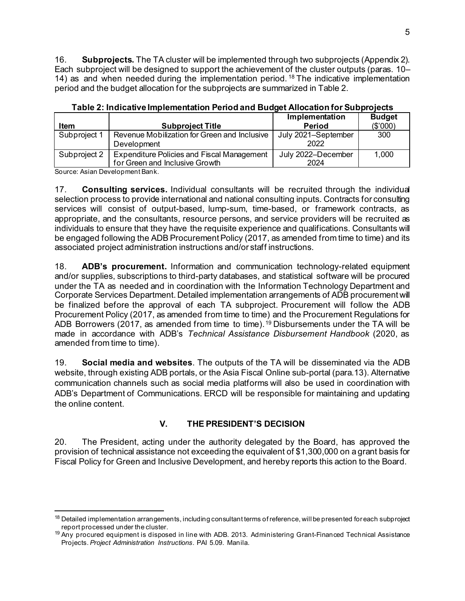16. **Subprojects.** The TA cluster will be implemented through two subprojects (Appendix 2). Each subproject will be designed to support the achievement of the cluster outputs (paras. 10– 14) as and when needed during the implementation period. [18](#page-10-1) The indicative implementation period and the budget allocation for the subprojects are summarized in Table 2.

|              |                                                                                     | Implementation              | <b>Budget</b> |
|--------------|-------------------------------------------------------------------------------------|-----------------------------|---------------|
| <b>Item</b>  | <b>Subproject Title</b>                                                             | <b>Period</b>               | (\$'000)      |
| Subproject 1 | Revenue Mobilization for Green and Inclusive<br>Development                         | July 2021-September<br>2022 | 300           |
| Subproject 2 | <b>Expenditure Policies and Fiscal Management</b><br>for Green and Inclusive Growth | July 2022-December<br>2024  | 1,000         |

**Table 2: Indicative Implementation Period and Budget Allocation for Subprojects**

Source: Asian Development Bank.

17. **Consulting services.** Individual consultants will be recruited through the individual selection process to provide international and national consulting inputs. Contracts for consulting services will consist of output-based, lump-sum, time-based, or framework contracts, as appropriate, and the consultants, resource persons, and service providers will be recruited as individuals to ensure that they have the requisite experience and qualifications. Consultants will be engaged following the ADB Procurement Policy (2017, as amended from time to time) and its associated project administration instructions and/or staff instructions.

18. **ADB's procurement.** Information and communication technology-related equipment and/or supplies, subscriptions to third-party databases, and statistical software will be procured under the TA as needed and in coordination with the Information Technology Department and Corporate Services Department. Detailed implementation arrangements of ADB procurement will be finalized before the approval of each TA subproject. Procurement will follow the ADB Procurement Policy (2017, as amended from time to time) and the Procurement Regulations for ADB Borrowers (2017, as amended from time to time).<sup>[19](#page-10-2)</sup> Disbursements under the TA will be made in accordance with ADB's *Technical Assistance Disbursement Handbook* (2020, as amended from time to time).

19. **Social media and websites**. The outputs of the TA will be disseminated via the ADB website, through existing ADB portals, or the Asia Fiscal Online sub-portal (para.13). Alternative communication channels such as social media platforms will also be used in coordination with ADB's Department of Communications. ERCD will be responsible for maintaining and updating the online content.

## **V. THE PRESIDENT'S DECISION**

<span id="page-10-0"></span>20. The President, acting under the authority delegated by the Board, has approved the provision of technical assistance not exceeding the equivalent of \$1,300,000 on a grant basis for Fiscal Policy for Green and Inclusive Development, and hereby reports this action to the Board.

<span id="page-10-1"></span> $18$  Detailed implementation arrangements, including consultant terms of reference, will be presented for each subproject report processed under the cluster.

<span id="page-10-2"></span><sup>&</sup>lt;sup>19</sup> Any procured equipment is disposed in line with ADB. 2013. Administering Grant-Financed Technical Assistance Projects. *[Project Administration Instructions](https://www.adb.org/sites/default/files/institutional-document/33431/pai-5-09.pdf)*. PAI 5.09. Manila.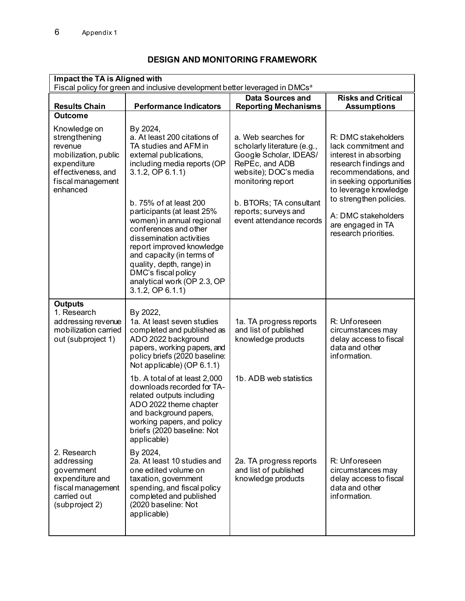<span id="page-11-0"></span>

| Impact the TA is Aligned with<br>Fiscal policy for green and inclusive development better leveraged in DMCs <sup>a</sup>               |                                                                                                                                                                                                                                                                                                               |                                                                                                                                              |                                                                                                                                                                           |
|----------------------------------------------------------------------------------------------------------------------------------------|---------------------------------------------------------------------------------------------------------------------------------------------------------------------------------------------------------------------------------------------------------------------------------------------------------------|----------------------------------------------------------------------------------------------------------------------------------------------|---------------------------------------------------------------------------------------------------------------------------------------------------------------------------|
| <b>Results Chain</b>                                                                                                                   | <b>Performance Indicators</b>                                                                                                                                                                                                                                                                                 | <b>Data Sources and</b><br><b>Reporting Mechanisms</b>                                                                                       | <b>Risks and Critical</b><br><b>Assumptions</b>                                                                                                                           |
| <b>Outcome</b>                                                                                                                         |                                                                                                                                                                                                                                                                                                               |                                                                                                                                              |                                                                                                                                                                           |
| Knowledge on<br>strengthening<br>revenue<br>mobilization, public<br>expenditure<br>effectiveness, and<br>fiscal management<br>enhanced | By 2024,<br>a. At least 200 citations of<br>TA studies and AFM in<br>external publications,<br>including media reports (OP<br>$3.1.2$ , OP $6.1.1$ )                                                                                                                                                          | a. Web searches for<br>scholarly literature (e.g.,<br>Google Scholar, IDEAS/<br>RePEc, and ADB<br>website); DOC's media<br>monitoring report | R: DMC stakeholders<br>lack commitment and<br>interest in absorbing<br>research findings and<br>recommendations, and<br>in seeking opportunities<br>to leverage knowledge |
|                                                                                                                                        | b. 75% of at least 200<br>participants (at least 25%<br>women) in annual regional<br>conferences and other<br>dissemination activities<br>report improved knowledge<br>and capacity (in terms of<br>quality, depth, range) in<br>DMC's fiscal policy<br>analytical work (OP 2.3, OP<br>$3.1.2$ , OP $6.1.1$ ) | b. BTORs; TA consultant<br>reports; surveys and<br>event attendance records                                                                  | to strengthen policies.<br>A: DMC stakeholders<br>are engaged in TA<br>research priorities.                                                                               |
| <b>Outputs</b><br>1. Research<br>addressing revenue<br>mobilization carried<br>out (subproject 1)                                      | By 2022,<br>1a. At least seven studies<br>completed and published as<br>ADO 2022 background<br>papers, working papers, and<br>policy briefs (2020 baseline:<br>Not applicable) (OP 6.1.1)                                                                                                                     | 1a. TA progress reports<br>and list of published<br>knowledge products                                                                       | R: Unforeseen<br>circumstances may<br>delay access to fiscal<br>data and other<br>information.                                                                            |
|                                                                                                                                        | 1b. A total of at least 2,000<br>downloads recorded for TA-<br>related outputs including<br>ADO 2022 theme chapter<br>and background papers,<br>working papers, and policy<br>briefs (2020 baseline: Not<br>applicable)                                                                                       | 1b. ADB web statistics                                                                                                                       |                                                                                                                                                                           |
| 2. Research<br>addressing<br>government<br>expenditure and<br>fiscal management<br>carried out<br>(subproject 2)                       | By 2024,<br>2a. At least 10 studies and<br>one edited volume on<br>taxation, government<br>spending, and fiscal policy<br>completed and published<br>(2020 baseline: Not<br>applicable)                                                                                                                       | 2a. TA progress reports<br>and list of published<br>knowledge products                                                                       | R: Unforeseen<br>circumstances may<br>delay access to fiscal<br>data and other<br>information.                                                                            |

## **DESIGN AND MONITORING FRAMEWORK**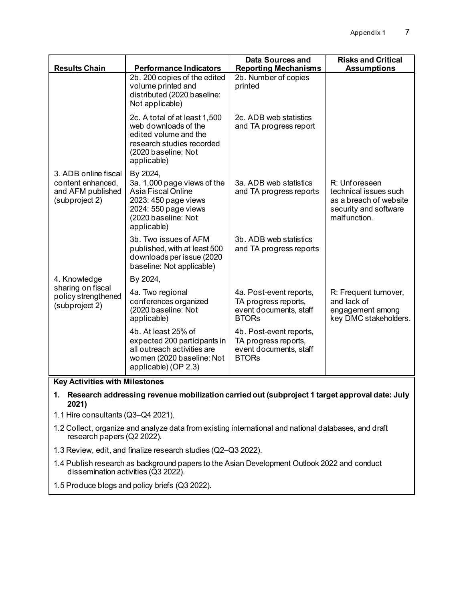| <b>Results Chain</b>                                                             | <b>Performance Indicators</b>                                                                                                                       | <b>Data Sources and</b><br><b>Reporting Mechanisms</b>                                    | <b>Risks and Critical</b><br><b>Assumptions</b>                                                           |
|----------------------------------------------------------------------------------|-----------------------------------------------------------------------------------------------------------------------------------------------------|-------------------------------------------------------------------------------------------|-----------------------------------------------------------------------------------------------------------|
|                                                                                  | 2b. 200 copies of the edited<br>volume printed and<br>distributed (2020 baseline:<br>Not applicable)                                                | 2b. Number of copies<br>printed                                                           |                                                                                                           |
|                                                                                  | 2c. A total of at least 1,500<br>web downloads of the<br>edited volume and the<br>research studies recorded<br>(2020 baseline: Not<br>applicable)   | 2c. ADB web statistics<br>and TA progress report                                          |                                                                                                           |
| 3. ADB online fiscal<br>content enhanced,<br>and AFM published<br>(subproject 2) | By 2024,<br>3a. 1,000 page views of the<br>Asia Fiscal Online<br>2023: 450 page views<br>2024: 550 page views<br>(2020 baseline: Not<br>applicable) | 3a. ADB web statistics<br>and TA progress reports                                         | R: Unforeseen<br>technical issues such<br>as a breach of website<br>security and software<br>malfunction. |
|                                                                                  | 3b. Two issues of AFM<br>published, with at least 500<br>downloads per issue (2020<br>baseline: Not applicable)                                     | 3b. ADB web statistics<br>and TA progress reports                                         |                                                                                                           |
| 4. Knowledge<br>sharing on fiscal<br>policy strengthened<br>(subproject 2)       | By 2024,                                                                                                                                            |                                                                                           |                                                                                                           |
|                                                                                  | 4a. Two regional<br>conferences organized<br>(2020 baseline: Not<br>applicable)                                                                     | 4a. Post-event reports,<br>TA progress reports,<br>event documents, staff<br><b>BTORs</b> | R: Frequent turnover,<br>and lack of<br>engagement among<br>key DMC stakeholders.                         |
|                                                                                  | 4b. At least 25% of<br>expected 200 participants in<br>all outreach activities are<br>women (2020 baseline: Not<br>applicable) (OP 2.3)             | 4b. Post-event reports,<br>TA progress reports,<br>event documents, staff<br><b>BTORs</b> |                                                                                                           |

#### **Key Activities with Milestones**

- **1. Research addressing revenue mobilization carried out (subproject 1 target approval date: July 2021)**
- 1.1 Hire consultants (Q3–Q4 2021).
- 1.2 Collect, organize and analyze data from existing international and national databases, and draft research papers (Q2 2022).
- 1.3 Review, edit, and finalize research studies (Q2–Q3 2022).
- 1.4 Publish research as background papers to the Asian Development Outlook 2022 and conduct dissemination activities (Q3 2022).
- 1.5 Produce blogs and policy briefs (Q3 2022).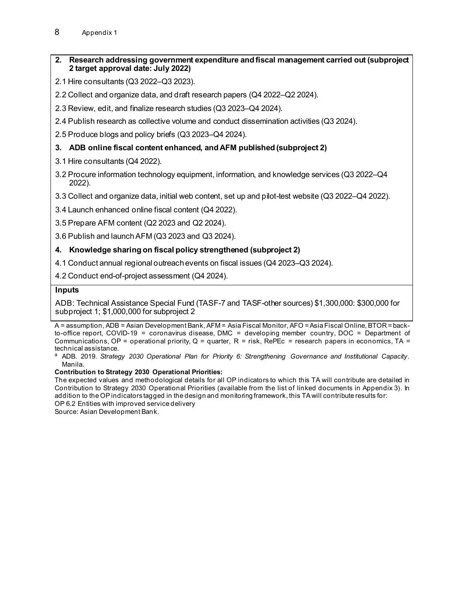#### **2. Research addressing government expenditure and fiscal management carried out (subproject 2 target approval date: July 2022)**

- 2.1 Hire consultants (Q3 2022–Q3 2023).
- 2.2 Collect and organize data, and draft research papers (Q4 2022–Q2 2024).
- 2.3 Review, edit, and finalize research studies (Q3 2023–Q4 2024).
- 2.4 Publish research as collective volume and conduct dissemination activities (Q3 2024).
- 2.5 Produce blogs and policy briefs (Q3 2023–Q4 2024).

#### **3. ADB online fiscal content enhanced, and AFM published (subproject 2)**

- 3.1 Hire consultants (Q4 2022).
- 3.2 Procure information technology equipment, information, and knowledge services (Q3 2022–Q4 2022).
- 3.3 Collect and organize data, initial web content, set up and pilot-test website (Q3 2022–Q4 2022).
- 3.4 Launch enhanced online fiscal content (Q4 2022).
- 3.5 Prepare AFM content (Q2 2023 and Q2 2024).
- 3.6 Publish and launch AFM (Q3 2023 and Q3 2024).

#### **4. Knowledge sharing on fiscal policy strengthened (subproject 2)**

4.1 Conduct annual regional outreach events on fiscal issues (Q4 2023–Q3 2024).

4.2 Conduct end-of-project assessment (Q4 2024).

#### **Inputs**

ADB: Technical Assistance Special Fund (TASF-7 and TASF-other sources) \$1,300,000: \$300,000 for subproject 1; \$1,000,000 for subproject 2

#### **Contribution to Strategy 2030 Operational Priorities:**

The expected values and methodological details for all OP indicators to which this TA will contribute are detailed in Contribution to Strategy 2030 Operational Priorities (available from the list of linked documents in Appendix 3). In addition to the OP indicators tagged in the design and monitoring framework, this TA will contribute results for: OP 6.2 Entities with improved service delivery

Source: Asian Development Bank.

A = assumption, ADB = Asian Development Bank, AFM = Asia Fiscal Monitor, AFO = Asia Fiscal Online, BTOR = backto-office report, COVID-19 = coronavirus disease, DMC = developing member country, DOC = Department of Communications, OP = operational priority, Q = quarter, R = risk, RePEc = research papers in economics, TA = technical assistance.

<sup>a</sup> ADB. 2019. *Strategy 2030 Operational Plan for [Priority 6: Strengthening Governance and Institutional Capacity](https://www.adb.org/documents/strategy-2030-op6-governance)*. Manila.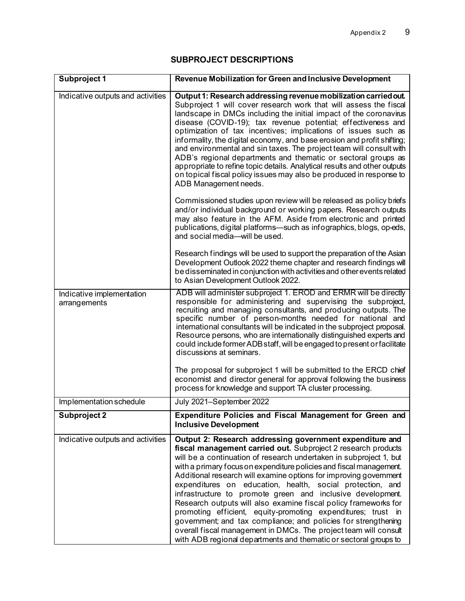## **SUBPROJECT DESCRIPTIONS**

<span id="page-14-0"></span>

| Subproject 1                              | Revenue Mobilization for Green and Inclusive Development                                                                                                                                                                                                                                                                                                                                                                                                                                                                                                                                                                                                                                                                                                                                                            |
|-------------------------------------------|---------------------------------------------------------------------------------------------------------------------------------------------------------------------------------------------------------------------------------------------------------------------------------------------------------------------------------------------------------------------------------------------------------------------------------------------------------------------------------------------------------------------------------------------------------------------------------------------------------------------------------------------------------------------------------------------------------------------------------------------------------------------------------------------------------------------|
| Indicative outputs and activities         | Output 1: Research addressing revenue mobilization carried out.<br>Subproject 1 will cover research work that will assess the fiscal<br>landscape in DMCs including the initial impact of the coronavirus<br>disease (COVID-19); tax revenue potential; effectiveness and<br>optimization of tax incentives; implications of issues such as<br>informality, the digital economy, and base erosion and profit shifting;<br>and environmental and sin taxes. The project team will consult with<br>ADB's regional departments and thematic or sectoral groups as<br>appropriate to refine topic details. Analytical results and other outputs<br>on topical fiscal policy issues may also be produced in response to<br>ADB Management needs.                                                                         |
|                                           | Commissioned studies upon review will be released as policy briefs<br>and/or individual background or working papers. Research outputs<br>may also feature in the AFM. Aside from electronic and printed<br>publications, digital platforms—such as infographics, blogs, op-eds,<br>and social media-will be used.                                                                                                                                                                                                                                                                                                                                                                                                                                                                                                  |
|                                           | Research findings will be used to support the preparation of the Asian<br>Development Outlook 2022 theme chapter and research findings will<br>be disseminated in conjunction with activities and other events related<br>to Asian Development Outlook 2022.                                                                                                                                                                                                                                                                                                                                                                                                                                                                                                                                                        |
| Indicative implementation<br>arrangements | ADB will administer subproject 1. EROD and ERMR will be directly<br>responsible for administering and supervising the subproject,<br>recruiting and managing consultants, and producing outputs. The<br>specific number of person-months needed for national and<br>international consultants will be indicated in the subproject proposal.<br>Resource persons, who are internationally distinguished experts and<br>could include former ADB staff, will be engaged to present or facilitate<br>discussions at seminars.                                                                                                                                                                                                                                                                                          |
|                                           | The proposal for subproject 1 will be submitted to the ERCD chief<br>economist and director general for approval following the business<br>process for knowledge and support TA cluster processing.                                                                                                                                                                                                                                                                                                                                                                                                                                                                                                                                                                                                                 |
| Implementation schedule                   | July 2021-September 2022                                                                                                                                                                                                                                                                                                                                                                                                                                                                                                                                                                                                                                                                                                                                                                                            |
| <b>Subproject 2</b>                       | <b>Expenditure Policies and Fiscal Management for Green and</b><br><b>Inclusive Development</b>                                                                                                                                                                                                                                                                                                                                                                                                                                                                                                                                                                                                                                                                                                                     |
| Indicative outputs and activities         | Output 2: Research addressing government expenditure and<br>fiscal management carried out. Subproject 2 research products<br>will be a continuation of research undertaken in subproject 1, but<br>with a primary focus on expenditure policies and fiscal management.<br>Additional research will examine options for improving government<br>expenditures on education, health, social protection, and<br>infrastructure to promote green and inclusive development.<br>Research outputs will also examine fiscal policy frameworks for<br>promoting efficient, equity-promoting expenditures; trust in<br>government; and tax compliance; and policies for strengthening<br>overall fiscal management in DMCs. The project team will consult<br>with ADB regional departments and thematic or sectoral groups to |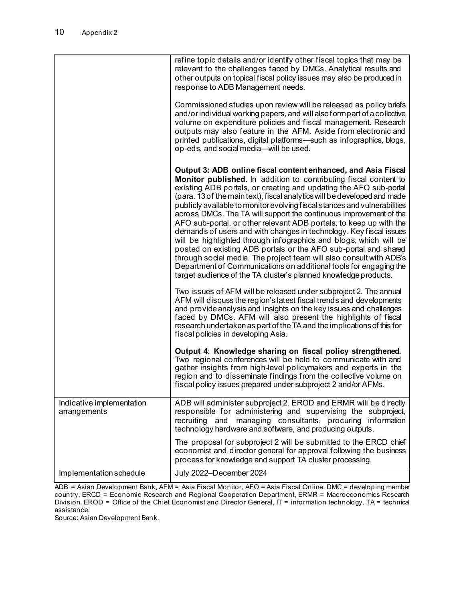|                                           | refine topic details and/or identify other fiscal topics that may be<br>relevant to the challenges faced by DMCs. Analytical results and<br>other outputs on topical fiscal policy issues may also be produced in<br>response to ADB Management needs.<br>Commissioned studies upon review will be released as policy briefs<br>and/or individual working papers, and will also form part of a collective<br>volume on expenditure policies and fiscal management. Research<br>outputs may also feature in the AFM. Aside from electronic and<br>printed publications, digital platforms-such as infographics, blogs,<br>op-eds, and social media-will be used.                                                                                                                                                                                                                                                                          |
|-------------------------------------------|------------------------------------------------------------------------------------------------------------------------------------------------------------------------------------------------------------------------------------------------------------------------------------------------------------------------------------------------------------------------------------------------------------------------------------------------------------------------------------------------------------------------------------------------------------------------------------------------------------------------------------------------------------------------------------------------------------------------------------------------------------------------------------------------------------------------------------------------------------------------------------------------------------------------------------------|
|                                           | Output 3: ADB online fiscal content enhanced, and Asia Fiscal<br>Monitor published. In addition to contributing fiscal content to<br>existing ADB portals, or creating and updating the AFO sub-portal<br>(para. 13 of the main text), fiscal analytics will be developed and made<br>publicly available to monitor evolving fiscal stances and vulnerabilities<br>across DMCs. The TA will support the continuous improvement of the<br>AFO sub-portal, or other relevant ADB portals, to keep up with the<br>demands of users and with changes in technology. Key fiscal issues<br>will be highlighted through infographics and blogs, which will be<br>posted on existing ADB portals or the AFO sub-portal and shared<br>through social media. The project team will also consult with ADB's<br>Department of Communications on additional tools for engaging the<br>target audience of the TA cluster's planned knowledge products. |
|                                           | Two issues of AFM will be released under subproject 2. The annual<br>AFM will discuss the region's latest fiscal trends and developments<br>and provide analysis and insights on the key issues and challenges<br>faced by DMCs. AFM will also present the highlights of fiscal<br>research undertaken as part of the TA and the implications of this for<br>fiscal policies in developing Asia.                                                                                                                                                                                                                                                                                                                                                                                                                                                                                                                                         |
|                                           | Output 4: Knowledge sharing on fiscal policy strengthened.<br>Two regional conferences will be held to communicate with and<br>gather insights from high-level policymakers and experts in the<br>region and to disseminate findings from the collective volume on<br>fiscal policy issues prepared under subproject 2 and/or AFMs.                                                                                                                                                                                                                                                                                                                                                                                                                                                                                                                                                                                                      |
| Indicative implementation<br>arrangements | ADB will administer subproject 2. EROD and ERMR will be directly<br>responsible for administering and supervising the subproject,<br>managing consultants, procuring information<br>recruiting and<br>technology hardware and software, and producing outputs.                                                                                                                                                                                                                                                                                                                                                                                                                                                                                                                                                                                                                                                                           |
|                                           | The proposal for subproject 2 will be submitted to the ERCD chief<br>economist and director general for approval following the business<br>process for knowledge and support TA cluster processing.                                                                                                                                                                                                                                                                                                                                                                                                                                                                                                                                                                                                                                                                                                                                      |
| Implementation schedule                   | July 2022-December 2024                                                                                                                                                                                                                                                                                                                                                                                                                                                                                                                                                                                                                                                                                                                                                                                                                                                                                                                  |

ADB = Asian Development Bank, AFM = Asia Fiscal Monitor, AFO = Asia Fiscal Online, DMC = developing member country, ERCD = Economic Research and Regional Cooperation Department, ERMR = Macroeconomics Research Division, EROD = Office of the Chief Economist and Director General, IT = information technology, TA = technical assistance.

Source: Asian Development Bank.